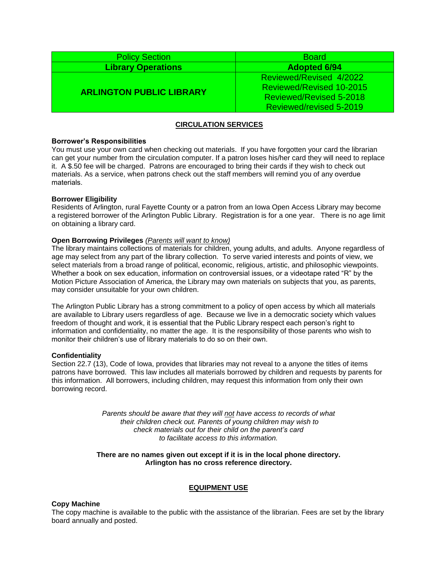| <b>Policy Section</b>           | <b>Board</b>                   |
|---------------------------------|--------------------------------|
| <b>Library Operations</b>       | <b>Adopted 6/94</b>            |
| <b>ARLINGTON PUBLIC LIBRARY</b> | Reviewed/Revised 4/2022        |
|                                 | Reviewed/Revised 10-2015       |
|                                 | <b>Reviewed/Revised 5-2018</b> |
|                                 | Reviewed/revised 5-2019        |

## **CIRCULATION SERVICES**

### **Borrower's Responsibilities**

You must use your own card when checking out materials. If you have forgotten your card the librarian can get your number from the circulation computer. If a patron loses his/her card they will need to replace it. A \$.50 fee will be charged. Patrons are encouraged to bring their cards if they wish to check out materials. As a service, when patrons check out the staff members will remind you of any overdue materials.

## **Borrower Eligibility**

Residents of Arlington, rural Fayette County or a patron from an Iowa Open Access Library may become a registered borrower of the Arlington Public Library. Registration is for a one year. There is no age limit on obtaining a library card.

### **Open Borrowing Privileges** *(Parents will want to know)*

The library maintains collections of materials for children, young adults, and adults. Anyone regardless of age may select from any part of the library collection. To serve varied interests and points of view, we select materials from a broad range of political, economic, religious, artistic, and philosophic viewpoints. Whether a book on sex education, information on controversial issues, or a videotape rated "R" by the Motion Picture Association of America, the Library may own materials on subjects that you, as parents, may consider unsuitable for your own children.

The Arlington Public Library has a strong commitment to a policy of open access by which all materials are available to Library users regardless of age. Because we live in a democratic society which values freedom of thought and work, it is essential that the Public Library respect each person's right to information and confidentiality, no matter the age. It is the responsibility of those parents who wish to monitor their children's use of library materials to do so on their own.

## **Confidentiality**

Section 22.7 (13), Code of Iowa, provides that libraries may not reveal to a anyone the titles of items patrons have borrowed. This law includes all materials borrowed by children and requests by parents for this information. All borrowers, including children, may request this information from only their own borrowing record.

> *Parents should be aware that they will not have access to records of what their children check out. Parents of young children may wish to check materials out for their child on the parent's card to facilitate access to this information.*

### **There are no names given out except if it is in the local phone directory. Arlington has no cross reference directory.**

# **EQUIPMENT USE**

#### **Copy Machine**

The copy machine is available to the public with the assistance of the librarian. Fees are set by the library board annually and posted.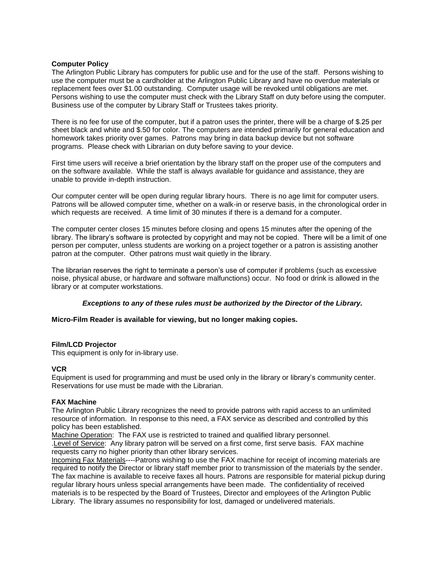## **Computer Policy**

The Arlington Public Library has computers for public use and for the use of the staff. Persons wishing to use the computer must be a cardholder at the Arlington Public Library and have no overdue materials or replacement fees over \$1.00 outstanding. Computer usage will be revoked until obligations are met. Persons wishing to use the computer must check with the Library Staff on duty before using the computer. Business use of the computer by Library Staff or Trustees takes priority.

There is no fee for use of the computer, but if a patron uses the printer, there will be a charge of \$.25 per sheet black and white and \$.50 for color. The computers are intended primarily for general education and homework takes priority over games. Patrons may bring in data backup device but not software programs. Please check with Librarian on duty before saving to your device.

First time users will receive a brief orientation by the library staff on the proper use of the computers and on the software available. While the staff is always available for guidance and assistance, they are unable to provide in-depth instruction.

Our computer center will be open during regular library hours. There is no age limit for computer users. Patrons will be allowed computer time, whether on a walk-in or reserve basis, in the chronological order in which requests are received. A time limit of 30 minutes if there is a demand for a computer.

The computer center closes 15 minutes before closing and opens 15 minutes after the opening of the library. The library's software is protected by copyright and may not be copied. There will be a limit of one person per computer, unless students are working on a project together or a patron is assisting another patron at the computer. Other patrons must wait quietly in the library.

The librarian reserves the right to terminate a person's use of computer if problems (such as excessive noise, physical abuse, or hardware and software malfunctions) occur. No food or drink is allowed in the library or at computer workstations.

## *Exceptions to any of these rules must be authorized by the Director of the Library.*

## **Micro-Film Reader is available for viewing, but no longer making copies.**

## **Film/LCD Projector**

This equipment is only for in-library use.

## **VCR**

Equipment is used for programming and must be used only in the library or library's community center. Reservations for use must be made with the Librarian.

## **FAX Machine**

The Arlington Public Library recognizes the need to provide patrons with rapid access to an unlimited resource of information. In response to this need, a FAX service as described and controlled by this policy has been established.

Machine Operation: The FAX use is restricted to trained and qualified library personnel. .Level of Service: Any library patron will be served on a first come, first serve basis. FAX machine requests carry no higher priority than other library services.

Incoming Fax Materials----Patrons wishing to use the FAX machine for receipt of incoming materials are required to notify the Director or library staff member prior to transmission of the materials by the sender. The fax machine is available to receive faxes all hours. Patrons are responsible for material pickup during regular library hours unless special arrangements have been made. The confidentiality of received materials is to be respected by the Board of Trustees, Director and employees of the Arlington Public Library. The library assumes no responsibility for lost, damaged or undelivered materials.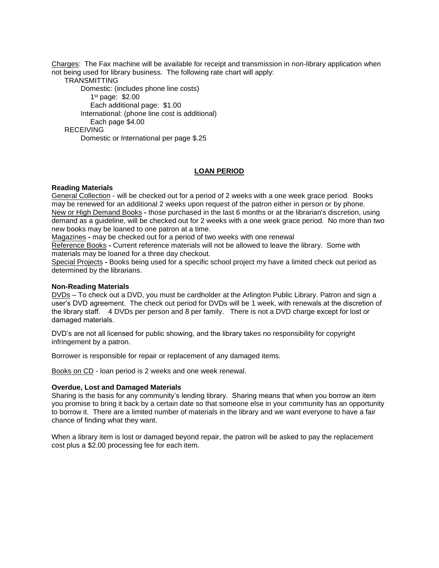Charges: The Fax machine will be available for receipt and transmission in non-library application when not being used for library business. The following rate chart will apply:

**TRANSMITTING** Domestic: (includes phone line costs) 1 st page: \$2.00 Each additional page: \$1.00 International: (phone line cost is additional) Each page \$4.00 RECEIVING Domestic or International per page \$.25

# **LOAN PERIOD**

## **Reading Materials**

General Collection - will be checked out for a period of 2 weeks with a one week grace period. Books may be renewed for an additional 2 weeks upon request of the patron either in person or by phone. New or High Demand Books **-** those purchased in the last 6 months or at the librarian's discretion, using demand as a guideline, will be checked out for 2 weeks with a one week grace period. No more than two new books may be loaned to one patron at a time.

Magazines **-** may be checked out for a period of two weeks with one renewal

Reference Books **-** Current reference materials will not be allowed to leave the library. Some with materials may be loaned for a three day checkout.

Special Projects **-** Books being used for a specific school project my have a limited check out period as determined by the librarians.

#### **Non-Reading Materials**

DVDs – To check out a DVD, you must be cardholder at the Arlington Public Library. Patron and sign a user's DVD agreement. The check out period for DVDs will be 1 week, with renewals at the discretion of the library staff. 4 DVDs per person and 8 per family. There is not a DVD charge except for lost or damaged materials.

DVD's are not all licensed for public showing, and the library takes no responsibility for copyright infringement by a patron.

Borrower is responsible for repair or replacement of any damaged items.

Books on CD - loan period is 2 weeks and one week renewal.

## **Overdue, Lost and Damaged Materials**

Sharing is the basis for any community's lending library. Sharing means that when you borrow an item you promise to bring it back by a certain date so that someone else in your community has an opportunity to borrow it. There are a limited number of materials in the library and we want everyone to have a fair chance of finding what they want.

When a library item is lost or damaged beyond repair, the patron will be asked to pay the replacement cost plus a \$2.00 processing fee for each item.